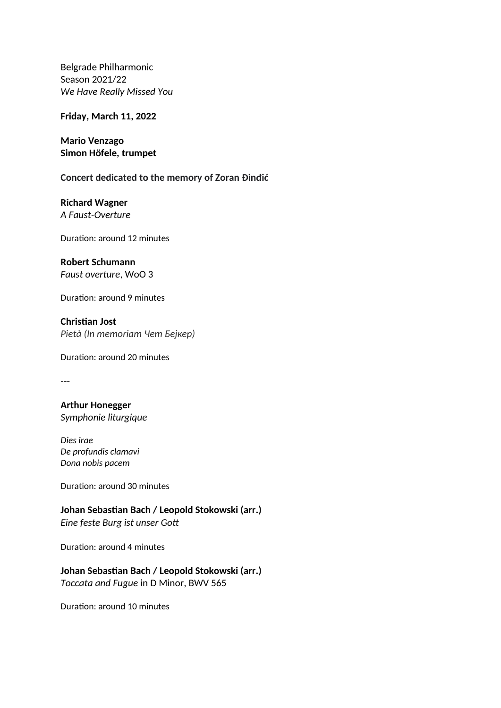Belgrade Philharmonic Season 2021/22 *We Have Really Missed You* 

**Friday, March 11, 2022**

**Mario Venzago Simon Höfele, trumpet**

**Concert dedicated to the memory of Zoran Đinđić**

**Richard Wagner** *А Faust-Оverture*

Duration: around 12 minutes

**Robert Schumann** *Faust overture*, WoO 3

Duration: around 9 minutes

**Christian Jost** *Pietà (In memoriam Чет Бејкер)*

Duration: around 20 minutes

---

**Arthur Honegger**  *Symphonie liturgique*

*Dies irae De profundis clamavi Dona nobis pacem*

Duration: around 30 minutes

**Johan Sebastian Bach / Leopold Stokowski (arr.)** *Eine feste Burg ist unser Gott*

Duration: around 4 minutes

## **Johan Sebastian Bach / Leopold Stokowski (arr.)**

*Toccata and Fugue* in D Minor, BWV 565

Duration: around 10 minutes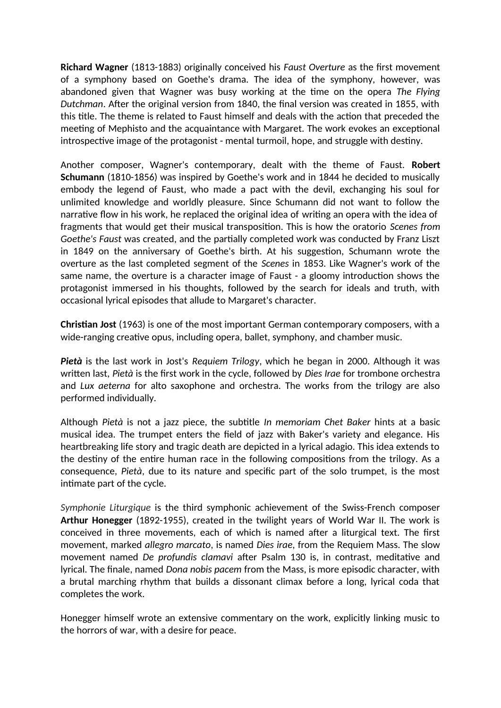**Richard Wagner** (1813-1883) originally conceived his *Faust Overture* as the first movement of a symphony based on Goethe's drama. The idea of the symphony, however, was abandoned given that Wagner was busy working at the time on the opera *The Flying Dutchman*. After the original version from 1840, the final version was created in 1855, with this title. The theme is related to Faust himself and deals with the action that preceded the meeting of Mephisto and the acquaintance with Margaret. The work evokes an exceptional introspective image of the protagonist - mental turmoil, hope, and struggle with destiny.

Another composer, Wagner's contemporary, dealt with the theme of Faust. **Robert Schumann** (1810-1856) was inspired by Goethe's work and in 1844 he decided to musically embody the legend of Faust, who made a pact with the devil, exchanging his soul for unlimited knowledge and worldly pleasure. Since Schumann did not want to follow the narrative flow in his work, he replaced the original idea of writing an opera with the idea of fragments that would get their musical transposition. This is how the oratorio *Scenes from Goethe's Faust* was created, and the partially completed work was conducted by Franz Liszt in 1849 on the anniversary of Goethe's birth. At his suggestion, Schumann wrote the overture as the last completed segment of the *Scenes* in 1853. Like Wagner's work of the same name, the overture is a character image of Faust - a gloomy introduction shows the protagonist immersed in his thoughts, followed by the search for ideals and truth, with occasional lyrical episodes that allude to Margaret's character.

**Christian Jost** (1963) is one of the most important German contemporary composers, with a wide-ranging creative opus, including opera, ballet, symphony, and chamber music.

*Pietà* is the last work in Jost's *Requiem Trilogy*, which he began in 2000. Although it was written last, *Pietà* is the first work in the cycle, followed by *Dies Irae* for trombone orchestra and *Lux aeterna* for alto saxophone and orchestra. The works from the trilogy are also performed individually.

Although *Pietà* is not a jazz piece, the subtitle *In memoriam Chet Baker* hints at a basic musical idea. The trumpet enters the field of jazz with Baker's variety and elegance. His heartbreaking life story and tragic death are depicted in a lyrical adagio. This idea extends to the destiny of the entire human race in the following compositions from the trilogy. As a consequence, *Pietà*, due to its nature and specific part of the solo trumpet, is the most intimate part of the cycle.

*Symphonie Liturgique* is the third symphonic achievement of the Swiss-French composer **Arthur Honegger** (1892-1955), created in the twilight years of World War II. The work is conceived in three movements, each of which is named after a liturgical text. The first movement, marked *allegro marcato*, is named *Dies irae*, from the Requiem Mass. The slow movement named *De profundis clamavi* after Psalm 130 is, in contrast, meditative and lyrical. The finale, named *Dona nobis pacem* from the Mass, is more episodic character, with a brutal marching rhythm that builds a dissonant climax before a long, lyrical coda that completes the work.

Honegger himself wrote an extensive commentary on the work, explicitly linking music to the horrors of war, with a desire for peace.